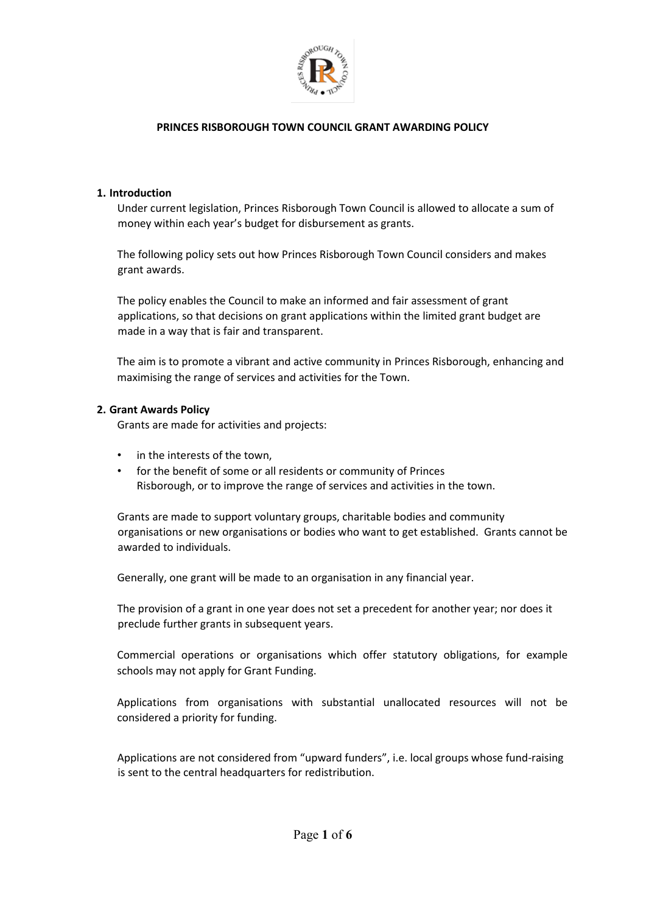

### **1. Introduction**

Under current legislation, Princes Risborough Town Council is allowed to allocate a sum of money within each year's budget for disbursement as grants.

The following policy sets out how Princes Risborough Town Council considers and makes grant awards.

The policy enables the Council to make an informed and fair assessment of grant applications, so that decisions on grant applications within the limited grant budget are made in a way that is fair and transparent.

The aim is to promote a vibrant and active community in Princes Risborough, enhancing and maximising the range of services and activities for the Town.

### **2. Grant Awards Policy**

Grants are made for activities and projects:

- in the interests of the town,
- for the benefit of some or all residents or community of Princes Risborough, or to improve the range of services and activities in the town.

Grants are made to support voluntary groups, charitable bodies and community organisations or new organisations or bodies who want to get established. Grants cannot be awarded to individuals.

Generally, one grant will be made to an organisation in any financial year.

The provision of a grant in one year does not set a precedent for another year; nor does it preclude further grants in subsequent years.

Commercial operations or organisations which offer statutory obligations, for example schools may not apply for Grant Funding.

Applications from organisations with substantial unallocated resources will not be considered a priority for funding.

Applications are not considered from "upward funders", i.e. local groups whose fund-raising is sent to the central headquarters for redistribution.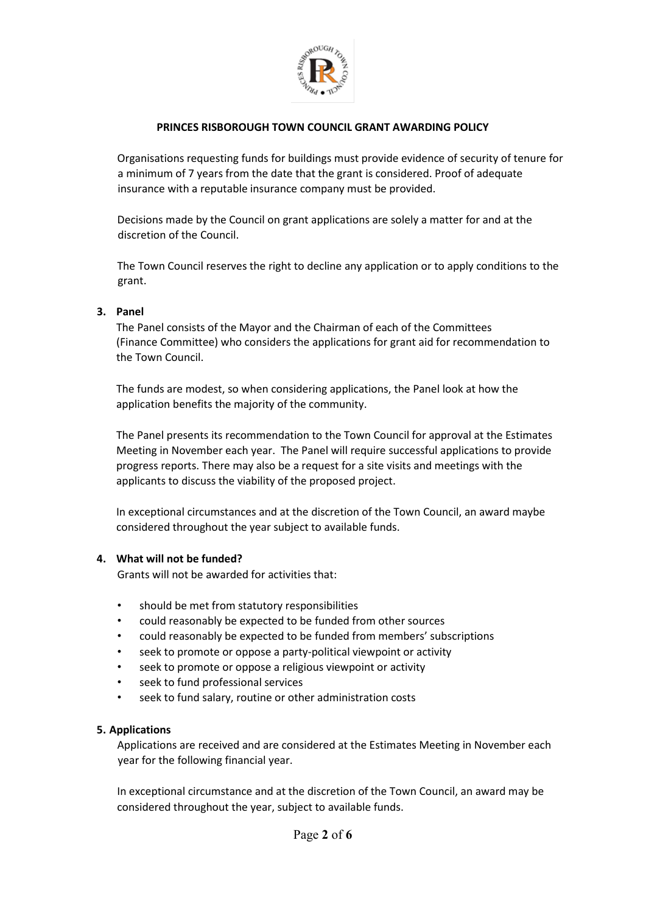

Organisations requesting funds for buildings must provide evidence of security of tenure for a minimum of 7 years from the date that the grant is considered. Proof of adequate insurance with a reputable insurance company must be provided.

Decisions made by the Council on grant applications are solely a matter for and at the discretion of the Council.

The Town Council reserves the right to decline any application or to apply conditions to the grant.

## **3. Panel**

The Panel consists of the Mayor and the Chairman of each of the Committees (Finance Committee) who considers the applications for grant aid for recommendation to the Town Council.

The funds are modest, so when considering applications, the Panel look at how the application benefits the majority of the community.

The Panel presents its recommendation to the Town Council for approval at the Estimates Meeting in November each year. The Panel will require successful applications to provide progress reports. There may also be a request for a site visits and meetings with the applicants to discuss the viability of the proposed project.

In exceptional circumstances and at the discretion of the Town Council, an award maybe considered throughout the year subject to available funds.

## **4. What will not be funded?**

Grants will not be awarded for activities that:

- should be met from statutory responsibilities
- could reasonably be expected to be funded from other sources
- could reasonably be expected to be funded from members' subscriptions
- seek to promote or oppose a party-political viewpoint or activity
- seek to promote or oppose a religious viewpoint or activity
- seek to fund professional services
- seek to fund salary, routine or other administration costs

## **5. Applications**

Applications are received and are considered at the Estimates Meeting in November each year for the following financial year.

In exceptional circumstance and at the discretion of the Town Council, an award may be considered throughout the year, subject to available funds.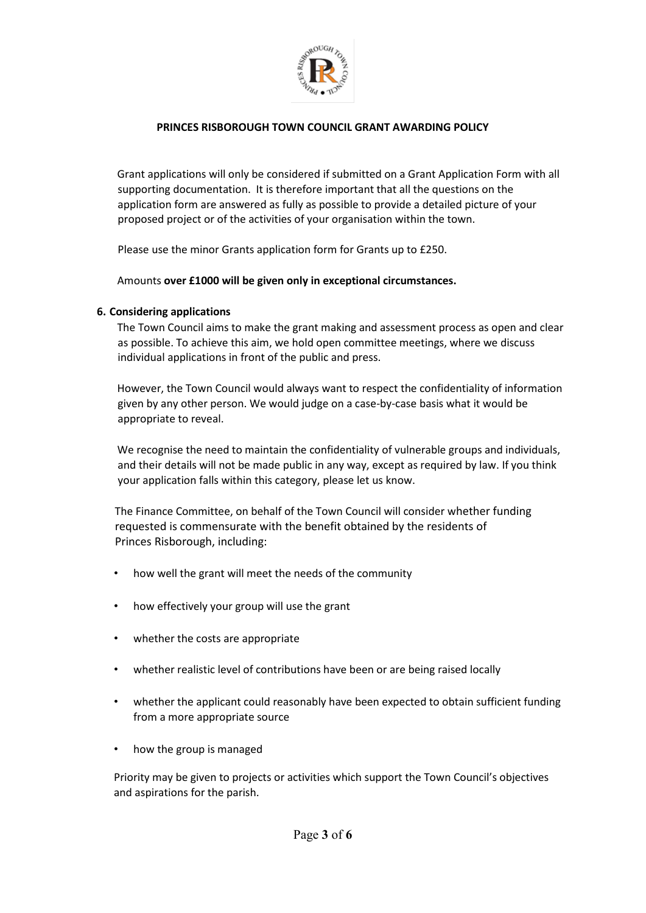

Grant applications will only be considered if submitted on a Grant Application Form with all supporting documentation. It is therefore important that all the questions on the application form are answered as fully as possible to provide a detailed picture of your proposed project or of the activities of your organisation within the town.

Please use the minor Grants application form for Grants up to £250.

Amounts **over £1000 will be given only in exceptional circumstances.** 

# **6. Considering applications**

The Town Council aims to make the grant making and assessment process as open and clear as possible. To achieve this aim, we hold open committee meetings, where we discuss individual applications in front of the public and press.

However, the Town Council would always want to respect the confidentiality of information given by any other person. We would judge on a case-by-case basis what it would be appropriate to reveal.

We recognise the need to maintain the confidentiality of vulnerable groups and individuals, and their details will not be made public in any way, except as required by law. If you think your application falls within this category, please let us know.

The Finance Committee, on behalf of the Town Council will consider whether funding requested is commensurate with the benefit obtained by the residents of Princes Risborough, including:

- how well the grant will meet the needs of the community
- how effectively your group will use the grant
- whether the costs are appropriate
- whether realistic level of contributions have been or are being raised locally
- whether the applicant could reasonably have been expected to obtain sufficient funding from a more appropriate source
- how the group is managed

Priority may be given to projects or activities which support the Town Council's objectives and aspirations for the parish.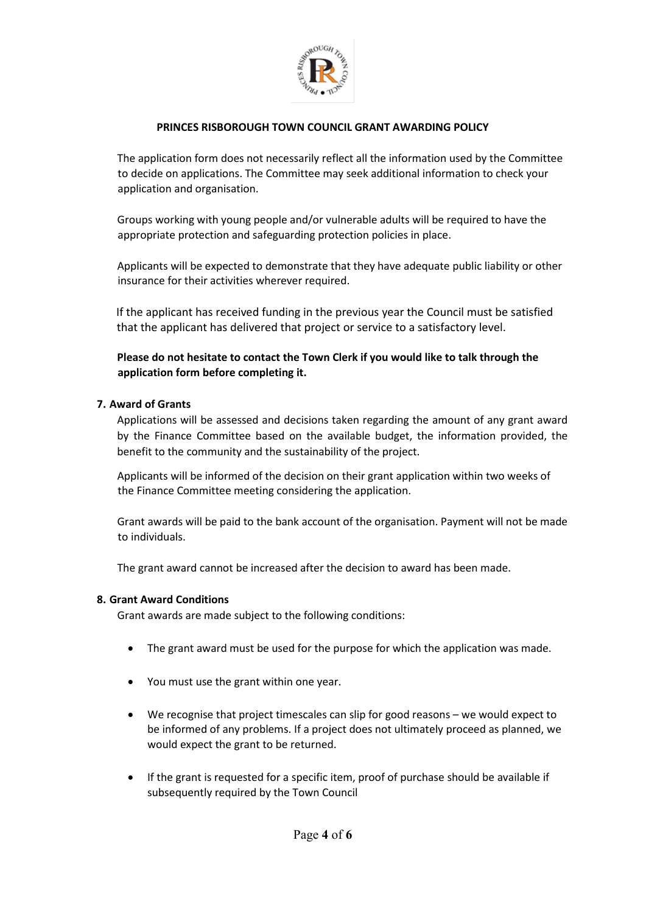

The application form does not necessarily reflect all the information used by the Committee to decide on applications. The Committee may seek additional information to check your application and organisation.

Groups working with young people and/or vulnerable adults will be required to have the appropriate protection and safeguarding protection policies in place.

Applicants will be expected to demonstrate that they have adequate public liability or other insurance for their activities wherever required.

If the applicant has received funding in the previous year the Council must be satisfied that the applicant has delivered that project or service to a satisfactory level.

**Please do not hesitate to contact the Town Clerk if you would like to talk through the application form before completing it.**

### **7. Award of Grants**

Applications will be assessed and decisions taken regarding the amount of any grant award by the Finance Committee based on the available budget, the information provided, the benefit to the community and the sustainability of the project.

Applicants will be informed of the decision on their grant application within two weeks of the Finance Committee meeting considering the application.

Grant awards will be paid to the bank account of the organisation. Payment will not be made to individuals.

The grant award cannot be increased after the decision to award has been made.

#### **8. Grant Award Conditions**

Grant awards are made subject to the following conditions:

- The grant award must be used for the purpose for which the application was made.
- You must use the grant within one year.
- We recognise that project timescales can slip for good reasons we would expect to be informed of any problems. If a project does not ultimately proceed as planned, we would expect the grant to be returned.
- If the grant is requested for a specific item, proof of purchase should be available if subsequently required by the Town Council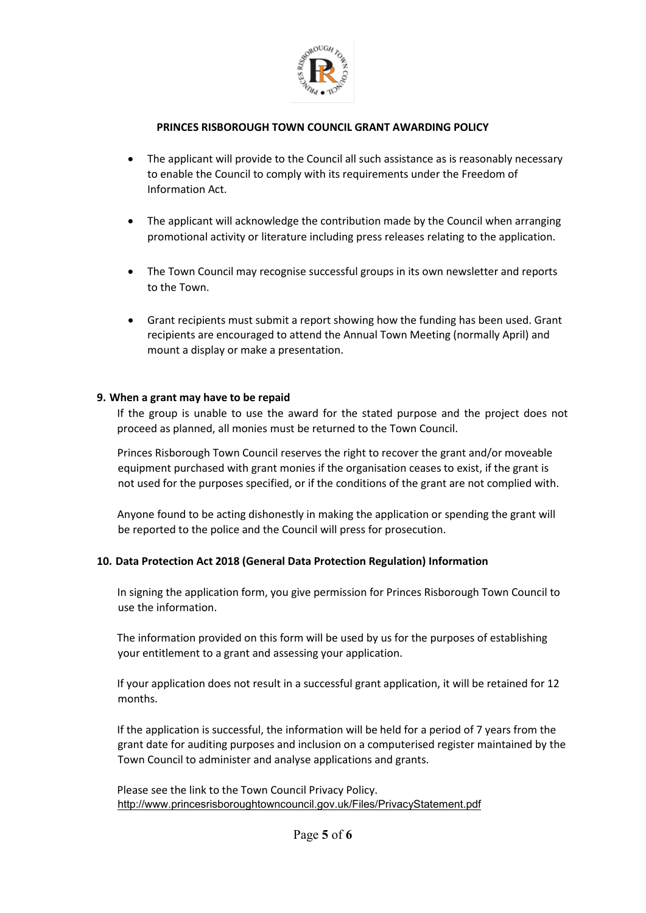

- The applicant will provide to the Council all such assistance as is reasonably necessary to enable the Council to comply with its requirements under the Freedom of Information Act.
- The applicant will acknowledge the contribution made by the Council when arranging promotional activity or literature including press releases relating to the application.
- The Town Council may recognise successful groups in its own newsletter and reports to the Town.
- Grant recipients must submit a report showing how the funding has been used. Grant recipients are encouraged to attend the Annual Town Meeting (normally April) and mount a display or make a presentation.

### **9. When a grant may have to be repaid**

If the group is unable to use the award for the stated purpose and the project does not proceed as planned, all monies must be returned to the Town Council.

Princes Risborough Town Council reserves the right to recover the grant and/or moveable equipment purchased with grant monies if the organisation ceases to exist, if the grant is not used for the purposes specified, or if the conditions of the grant are not complied with.

Anyone found to be acting dishonestly in making the application or spending the grant will be reported to the police and the Council will press for prosecution.

## **10. Data Protection Act 2018 (General Data Protection Regulation) Information**

In signing the application form, you give permission for Princes Risborough Town Council to use the information.

The information provided on this form will be used by us for the purposes of establishing your entitlement to a grant and assessing your application.

If your application does not result in a successful grant application, it will be retained for 12 months.

If the application is successful, the information will be held for a period of 7 years from the grant date for auditing purposes and inclusion on a computerised register maintained by the Town Council to administer and analyse applications and grants.

Please see the link to the Town Council Privacy Policy. <http://www.princesrisboroughtowncouncil.gov.uk/Files/PrivacyStatement.pdf>